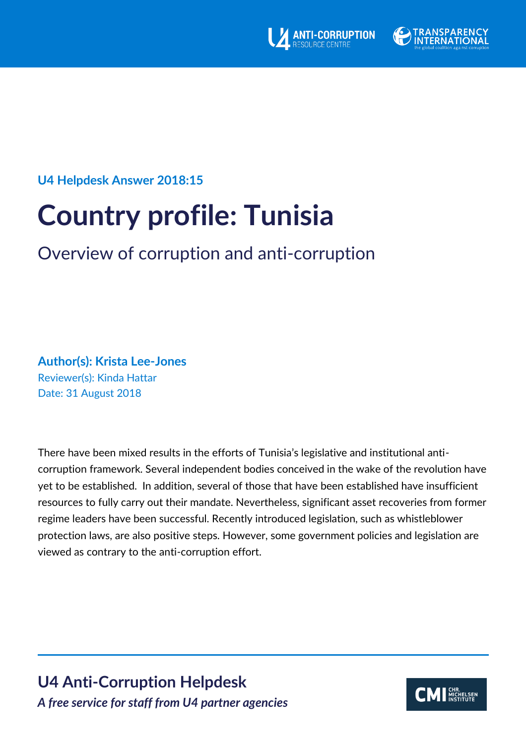



## **U4 Helpdesk Answer 2018:15**

# **Country profile: Tunisia**

# Overview of corruption and anti-corruption

**Author(s): Krista Lee-Jones** Reviewer(s): Kinda Hattar Date: 31 August 2018

There have been mixed results in the efforts of Tunisia's legislative and institutional anticorruption framework. Several independent bodies conceived in the wake of the revolution have yet to be established. In addition, several of those that have been established have insufficient resources to fully carry out their mandate. Nevertheless, significant asset recoveries from former regime leaders have been successful. Recently introduced legislation, such as whistleblower protection laws, are also positive steps. However, some government policies and legislation are viewed as contrary to the anti-corruption effort.

**U4 Anti-Corruption Helpdesk** *A free service for staff from U4 partner agencies*

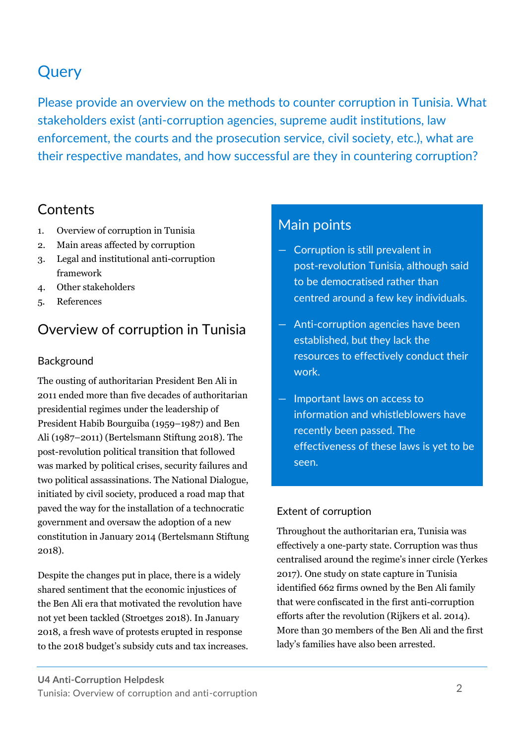# **Query**

Please provide an overview on the methods to counter corruption in Tunisia. What stakeholders exist (anti-corruption agencies, supreme audit institutions, law enforcement, the courts and the prosecution service, civil society, etc.), what are their respective mandates, and how successful are they in countering corruption?

# **Contents**

- 1. Overview of corruption in Tunisia
- 2. Main areas affected by corruption
- 3. Legal and institutional anti-corruption framework
- 4. Other stakeholders
- 5. References

# Overview of corruption in Tunisia

#### Background

The ousting of authoritarian President Ben Ali in 2011 ended more than five decades of authoritarian presidential regimes under the leadership of President Habib Bourguiba (1959–1987) and Ben Ali (1987–2011) (Bertelsmann Stiftung 2018). The post-revolution political transition that followed was marked by political crises, security failures and two political assassinations. The National Dialogue, initiated by civil society, produced a road map that paved the way for the installation of a technocratic government and oversaw the adoption of a new constitution in January 2014 (Bertelsmann Stiftung 2018).

Despite the changes put in place, there is a widely shared sentiment that the economic injustices of the Ben Ali era that motivated the revolution have not yet been tackled (Stroetges 2018). In January 2018, a fresh wave of protests erupted in response to the 2018 budget's subsidy cuts and tax increases.

# Main points

- Corruption is still prevalent in post-revolution Tunisia, although said to be democratised rather than centred around a few key individuals.
- Anti-corruption agencies have been established, but they lack the resources to effectively conduct their work.
- Important laws on access to information and whistleblowers have recently been passed. The effectiveness of these laws is yet to be seen.

### Extent of corruption

Throughout the authoritarian era, Tunisia was effectively a one-party state. Corruption was thus centralised around the regime's inner circle (Yerkes 2017). One study on state capture in Tunisia identified 662 firms owned by the Ben Ali family that were confiscated in the first anti-corruption efforts after the revolution (Rijkers et al. 2014). More than 30 members of the Ben Ali and the first lady's families have also been arrested.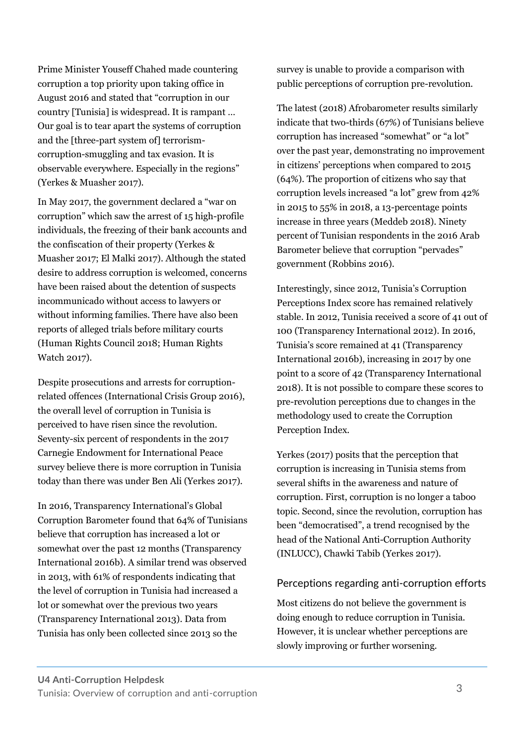Prime Minister Youseff Chahed made countering corruption a top priority upon taking office in August 2016 and stated that "corruption in our country [Tunisia] is widespread. It is rampant … Our goal is to tear apart the systems of corruption and the [three-part system of] terrorismcorruption-smuggling and tax evasion. It is observable everywhere. Especially in the regions" (Yerkes & Muasher 2017).

In May 2017, the government declared a "war on corruption" which saw the arrest of 15 high-profile individuals, the freezing of their bank accounts and the confiscation of their property (Yerkes & Muasher 2017; El Malki 2017). Although the stated desire to address corruption is welcomed, concerns have been raised about the detention of suspects incommunicado without access to lawyers or without informing families. There have also been reports of alleged trials before military courts (Human Rights Council 2018; Human Rights Watch 2017).

Despite prosecutions and arrests for corruptionrelated offences (International Crisis Group 2016), the overall level of corruption in Tunisia is perceived to have risen since the revolution. Seventy-six percent of respondents in the 2017 Carnegie Endowment for International Peace survey believe there is more corruption in Tunisia today than there was under Ben Ali (Yerkes 2017).

In 2016, Transparency International's Global Corruption Barometer found that 64% of Tunisians believe that corruption has increased a lot or somewhat over the past 12 months (Transparency International 2016b). A similar trend was observed in 2013, with 61% of respondents indicating that the level of corruption in Tunisia had increased a lot or somewhat over the previous two years (Transparency International 2013). Data from Tunisia has only been collected since 2013 so the

survey is unable to provide a comparison with public perceptions of corruption pre-revolution.

The latest (2018) Afrobarometer results similarly indicate that two-thirds (67%) of Tunisians believe corruption has increased "somewhat" or "a lot" over the past year, demonstrating no improvement in citizens' perceptions when compared to 2015 (64%). The proportion of citizens who say that corruption levels increased "a lot" grew from 42% in 2015 to 55% in 2018, a 13-percentage points increase in three years (Meddeb 2018). Ninety percent of Tunisian respondents in the 2016 Arab Barometer believe that corruption "pervades" government (Robbins 2016).

Interestingly, since 2012, Tunisia's Corruption Perceptions Index score has remained relatively stable. In 2012, Tunisia received a score of 41 out of 100 (Transparency International 2012). In 2016, Tunisia's score remained at 41 (Transparency International 2016b), increasing in 2017 by one point to a score of 42 (Transparency International 2018). It is not possible to compare these scores to pre-revolution perceptions due to changes in the methodology used to create the Corruption Perception Index.

Yerkes (2017) posits that the perception that corruption is increasing in Tunisia stems from several shifts in the awareness and nature of corruption. First, corruption is no longer a taboo topic. Second, since the revolution, corruption has been "democratised", a trend recognised by the head of the National Anti-Corruption Authority (INLUCC), Chawki Tabib (Yerkes 2017).

#### Perceptions regarding anti-corruption efforts

Most citizens do not believe the government is doing enough to reduce corruption in Tunisia. However, it is unclear whether perceptions are slowly improving or further worsening.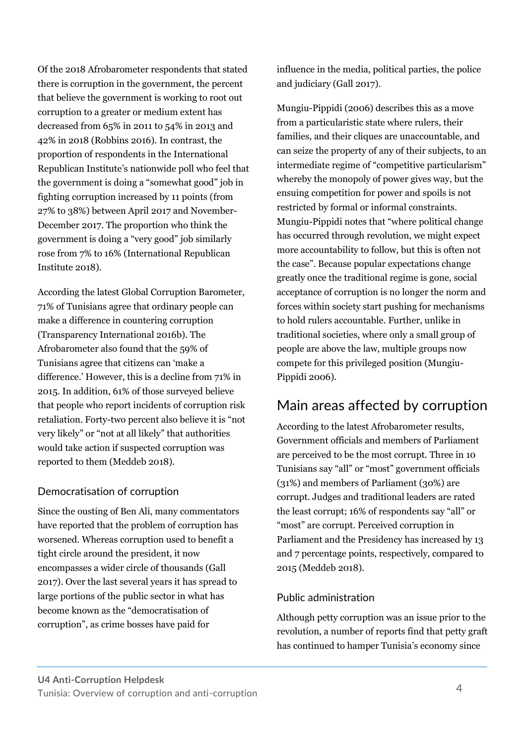Of the 2018 Afrobarometer respondents that stated there is corruption in the government, the percent that believe the government is working to root out corruption to a greater or medium extent has decreased from 65% in 2011 to 54% in 2013 and 42% in 2018 (Robbins 2016). In contrast, the proportion of respondents in the International Republican Institute's nationwide poll who feel that the government is doing a "somewhat good" job in fighting corruption increased by 11 points (from 27% to 38%) between April 2017 and November-December 2017. The proportion who think the government is doing a "very good" job similarly rose from 7% to 16% (International Republican Institute 2018).

According the latest Global Corruption Barometer, 71% of Tunisians agree that ordinary people can make a difference in countering corruption (Transparency International 2016b). The Afrobarometer also found that the 59% of Tunisians agree that citizens can 'make a difference.' However, this is a decline from 71% in 2015. In addition, 61% of those surveyed believe that people who report incidents of corruption risk retaliation. Forty-two percent also believe it is "not very likely" or "not at all likely" that authorities would take action if suspected corruption was reported to them (Meddeb 2018).

#### Democratisation of corruption

Since the ousting of Ben Ali, many commentators have reported that the problem of corruption has worsened. Whereas corruption used to benefit a tight circle around the president, it now encompasses a wider circle of thousands (Gall 2017). Over the last several years it has spread to large portions of the public sector in what has become known as the "democratisation of corruption", as crime bosses have paid for

influence in the media, political parties, the police and judiciary (Gall 2017).

Mungiu-Pippidi (2006) describes this as a move from a particularistic state where rulers, their families, and their cliques are unaccountable, and can seize the property of any of their subjects, to an intermediate regime of "competitive particularism" whereby the monopoly of power gives way, but the ensuing competition for power and spoils is not restricted by formal or informal constraints. Mungiu-Pippidi notes that "where political change has occurred through revolution, we might expect more accountability to follow, but this is often not the case". Because popular expectations change greatly once the traditional regime is gone, social acceptance of corruption is no longer the norm and forces within society start pushing for mechanisms to hold rulers accountable. Further, unlike in traditional societies, where only a small group of people are above the law, multiple groups now compete for this privileged position (Mungiu-Pippidi 2006).

# Main areas affected by corruption

According to the latest Afrobarometer results, Government officials and members of Parliament are perceived to be the most corrupt. Three in 10 Tunisians say "all" or "most" government officials (31%) and members of Parliament (30%) are corrupt. Judges and traditional leaders are rated the least corrupt; 16% of respondents say "all" or "most" are corrupt. Perceived corruption in Parliament and the Presidency has increased by 13 and 7 percentage points, respectively, compared to 2015 (Meddeb 2018).

#### Public administration

Although petty corruption was an issue prior to the revolution, a number of reports find that petty graft has continued to hamper Tunisia's economy since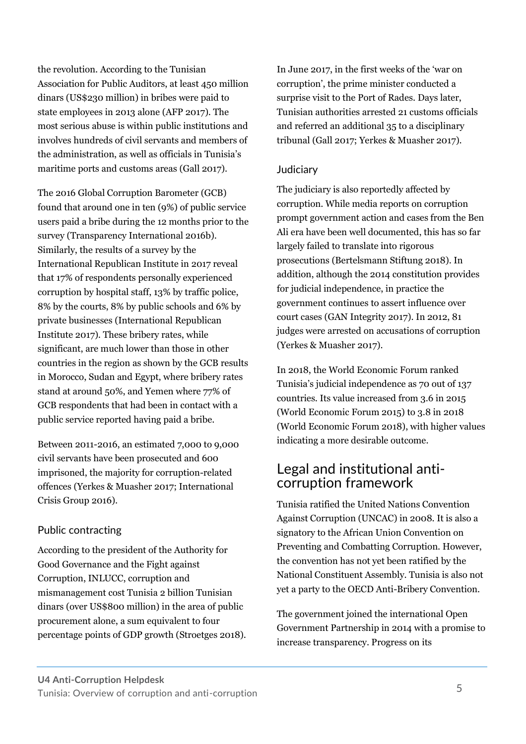the revolution. According to the Tunisian Association for Public Auditors, at least 450 million dinars (US\$230 million) in bribes were paid to state employees in 2013 alone (AFP 2017). The most serious abuse is within public institutions and involves hundreds of civil servants and members of the administration, as well as officials in Tunisia's maritime ports and customs areas (Gall 2017).

The 2016 Global Corruption Barometer (GCB) found that around one in ten (9%) of public service users paid a bribe during the 12 months prior to the survey (Transparency International 2016b). Similarly, the results of a survey by the International Republican Institute in 2017 reveal that 17% of respondents personally experienced corruption by hospital staff, 13% by traffic police, 8% by the courts, 8% by public schools and 6% by private businesses (International Republican Institute 2017). These bribery rates, while significant, are much lower than those in other countries in the region as shown by the GCB results in Morocco, Sudan and Egypt, where bribery rates stand at around 50%, and Yemen where 77% of GCB respondents that had been in contact with a public service reported having paid a bribe.

Between 2011-2016, an estimated 7,000 to 9,000 civil servants have been prosecuted and 600 imprisoned, the majority for corruption-related offences (Yerkes & Muasher 2017; International Crisis Group 2016).

#### Public contracting

According to the president of the Authority for Good Governance and the Fight against Corruption, INLUCC, corruption and mismanagement cost Tunisia 2 billion Tunisian dinars (over US\$800 million) in the area of public procurement alone, a sum equivalent to four percentage points of GDP growth (Stroetges 2018).

In June 2017, in the first weeks of the 'war on corruption', the prime minister conducted a surprise visit to the Port of Rades. Days later, Tunisian authorities arrested 21 customs officials and referred an additional 35 to a disciplinary tribunal (Gall 2017; Yerkes & Muasher 2017).

#### **Judiciary**

The judiciary is also reportedly affected by corruption. While media reports on corruption prompt government action and cases from the Ben Ali era have been well documented, this has so far largely failed to translate into rigorous prosecutions (Bertelsmann Stiftung 2018). In addition, although the 2014 constitution provides for judicial independence, in practice the government continues to assert influence over court cases (GAN Integrity 2017). In 2012, 81 judges were arrested on accusations of corruption (Yerkes & Muasher 2017).

In 2018, the World Economic Forum ranked Tunisia's judicial independence as 70 out of 137 countries. Its value increased from 3.6 in 2015 (World Economic Forum 2015) to 3.8 in 2018 (World Economic Forum 2018), with higher values indicating a more desirable outcome.

### Legal and institutional anticorruption framework

Tunisia ratified the United Nations Convention Against Corruption (UNCAC) in 2008. It is also a signatory to the African Union Convention on Preventing and Combatting Corruption. However, the convention has not yet been ratified by the National Constituent Assembly. Tunisia is also not yet a party to the OECD Anti-Bribery Convention.

The government joined the international Open Government Partnership in 2014 with a promise to increase transparency. Progress on its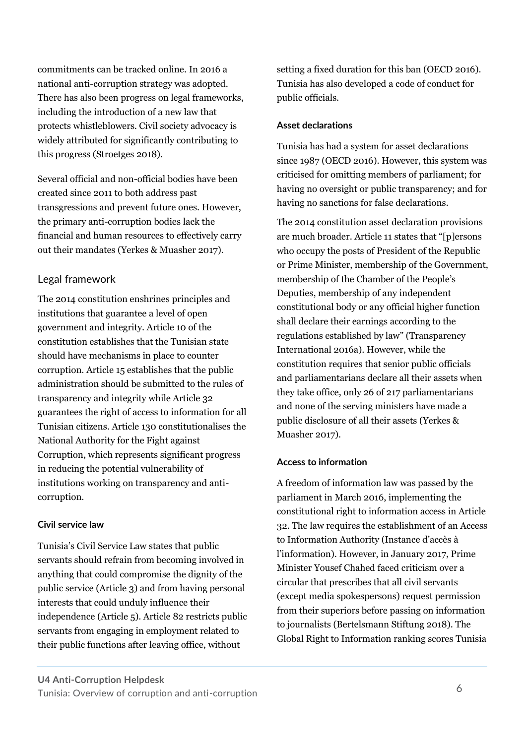commitments can be tracked online. In 2016 a national anti-corruption strategy was adopted. There has also been progress on legal frameworks, including the introduction of a new law that protects whistleblowers. Civil society advocacy is widely attributed for significantly contributing to this progress (Stroetges 2018).

Several official and non-official bodies have been created since 2011 to both address past transgressions and prevent future ones. However, the primary anti-corruption bodies lack the financial and human resources to effectively carry out their mandates (Yerkes & Muasher 2017).

#### Legal framework

The 2014 constitution enshrines principles and institutions that guarantee a level of open government and integrity. Article 10 of the constitution establishes that the Tunisian state should have mechanisms in place to counter corruption. Article 15 establishes that the public administration should be submitted to the rules of transparency and integrity while Article 32 guarantees the right of access to information for all Tunisian citizens. Article 130 constitutionalises the National Authority for the Fight against Corruption, which represents significant progress in reducing the potential vulnerability of institutions working on transparency and anticorruption.

#### **Civil service law**

Tunisia's Civil Service Law states that public servants should refrain from becoming involved in anything that could compromise the dignity of the public service (Article 3) and from having personal interests that could unduly influence their independence (Article 5). Article 82 restricts public servants from engaging in employment related to their public functions after leaving office, without

setting a fixed duration for this ban (OECD 2016). Tunisia has also developed a code of conduct for public officials.

#### **Asset declarations**

Tunisia has had a system for asset declarations since 1987 (OECD 2016). However, this system was criticised for omitting members of parliament; for having no oversight or public transparency; and for having no sanctions for false declarations.

The 2014 constitution asset declaration provisions are much broader. Article 11 states that "[p]ersons who occupy the posts of President of the Republic or Prime Minister, membership of the Government, membership of the Chamber of the People's Deputies, membership of any independent constitutional body or any official higher function shall declare their earnings according to the regulations established by law" (Transparency International 2016a). However, while the constitution requires that senior public officials and parliamentarians declare all their assets when they take office, only 26 of 217 parliamentarians and none of the serving ministers have made a public disclosure of all their assets (Yerkes & Muasher 2017).

#### **Access to information**

A freedom of information law was passed by the parliament in March 2016, implementing the constitutional right to information access in Article 32. The law requires the establishment of an Access to Information Authority (Instance d'accès à l'information). However, in January 2017, Prime Minister Yousef Chahed faced criticism over a circular that prescribes that all civil servants (except media spokespersons) request permission from their superiors before passing on information to journalists (Bertelsmann Stiftung 2018). The Global Right to Information ranking scores Tunisia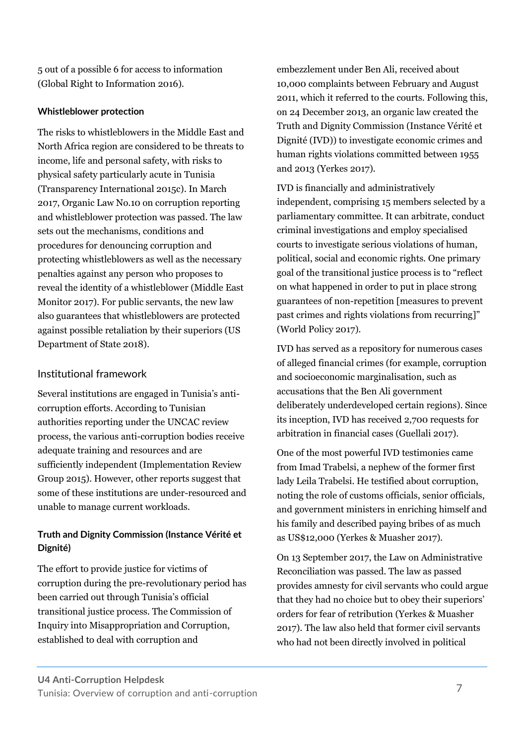5 out of a possible 6 for access to information (Global Right to Information 2016).

#### **Whistleblower protection**

The risks to whistleblowers in the Middle East and North Africa region are considered to be threats to income, life and personal safety, with risks to physical safety particularly acute in Tunisia (Transparency International 2015c). In March 2017, Organic Law No.10 on corruption reporting and whistleblower protection was passed. The law sets out the mechanisms, conditions and procedures for denouncing corruption and protecting whistleblowers as well as the necessary penalties against any person who proposes to reveal the identity of a whistleblower (Middle East Monitor 2017). For public servants, the new law also guarantees that whistleblowers are protected against possible retaliation by their superiors (US Department of State 2018).

#### Institutional framework

Several institutions are engaged in Tunisia's anticorruption efforts. According to Tunisian authorities reporting under the UNCAC review process, the various anti-corruption bodies receive adequate training and resources and are sufficiently independent (Implementation Review Group 2015). However, other reports suggest that some of these institutions are under-resourced and unable to manage current workloads.

#### **Truth and Dignity Commission (Instance Vérité et Dignité)**

The effort to provide justice for victims of corruption during the pre-revolutionary period has been carried out through Tunisia's official transitional justice process. The Commission of Inquiry into Misappropriation and Corruption, established to deal with corruption and

embezzlement under Ben Ali, received about 10,000 complaints between February and August 2011, which it referred to the courts. Following this, on 24 December 2013, an organic law created the Truth and Dignity Commission (Instance Vérité et Dignité (IVD)) to investigate economic crimes and human rights violations committed between 1955 and 2013 (Yerkes 2017).

IVD is financially and administratively independent, comprising 15 members selected by a parliamentary committee. It can arbitrate, conduct criminal investigations and employ specialised courts to investigate serious violations of human, political, social and economic rights. One primary goal of the transitional justice process is to "reflect on what happened in order to put in place strong guarantees of non-repetition [measures to prevent past crimes and rights violations from recurring]" (World Policy 2017).

IVD has served as a repository for numerous cases of alleged financial crimes (for example, corruption and socioeconomic marginalisation, such as accusations that the Ben Ali government deliberately underdeveloped certain regions). Since its inception, IVD has received 2,700 requests for arbitration in financial cases (Guellali 2017).

One of the most powerful IVD testimonies came from Imad Trabelsi, a nephew of the former first lady Leila Trabelsi. He testified about corruption, noting the role of customs officials, senior officials, and government ministers in enriching himself and his family and described paying bribes of as much as US\$12,000 (Yerkes & Muasher 2017).

On 13 September 2017, the Law on Administrative Reconciliation was passed. The law as passed provides amnesty for civil servants who could argue that they had no choice but to obey their superiors' orders for fear of retribution (Yerkes & Muasher 2017). The law also held that former civil servants who had not been directly involved in political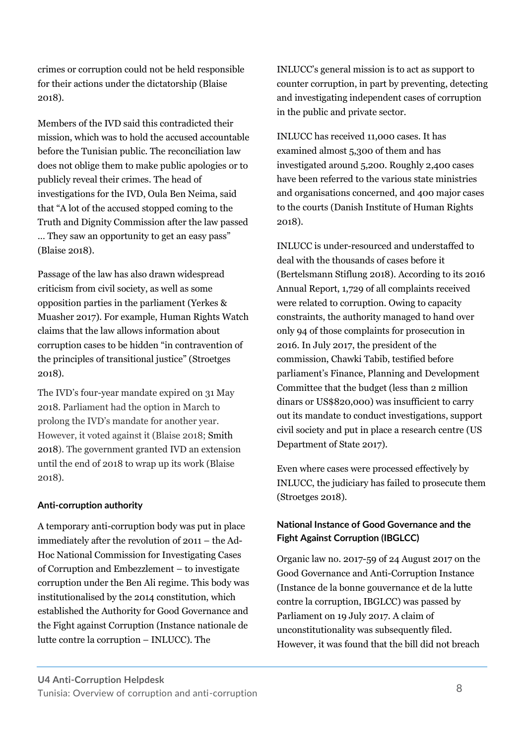crimes or corruption could not be held responsible for their actions under the dictatorship (Blaise 2018).

Members of the IVD said this contradicted their mission, which was to hold the accused accountable before the Tunisian public. The reconciliation law does not oblige them to make public apologies or to publicly reveal their crimes. The head of investigations for the IVD, Oula Ben Neima, said that "A lot of the accused stopped coming to the Truth and Dignity Commission after the law passed … They saw an opportunity to get an easy pass" (Blaise 2018).

Passage of the law has also drawn widespread criticism from civil society, as well as some opposition parties in the parliament (Yerkes & Muasher 2017). For example, Human Rights Watch claims that the law allows information about corruption cases to be hidden "in contravention of the principles of transitional justice" (Stroetges 2018).

The IVD's four-year mandate expired on 31 May 2018. Parliament had the option in March to prolong the IVD's mandate for another year. However, it voted against it (Blaise 2018; Smith 2018). The government granted IVD an extension until the end of 2018 to wrap up its work (Blaise 2018).

#### **Anti-corruption authority**

A temporary anti-corruption body was put in place immediately after the revolution of 2011 – the Ad-Hoc National Commission for Investigating Cases of Corruption and Embezzlement – to investigate corruption under the Ben Ali regime. This body was institutionalised by the 2014 constitution, which established the Authority for Good Governance and the Fight against Corruption (Instance nationale de lutte contre la corruption – INLUCC). The

INLUCC's general mission is to act as support to counter corruption, in part by preventing, detecting and investigating independent cases of corruption in the public and private sector.

INLUCC has received 11,000 cases. It has examined almost 5,300 of them and has investigated around 5,200. Roughly 2,400 cases have been referred to the various state ministries and organisations concerned, and 400 major cases to the courts (Danish Institute of Human Rights 2018).

INLUCC is under-resourced and understaffed to deal with the thousands of cases before it (Bertelsmann Stiflung 2018). According to its 2016 Annual Report, 1,729 of all complaints received were related to corruption. Owing to capacity constraints, the authority managed to hand over only 94 of those complaints for prosecution in 2016. In July 2017, the president of the commission, Chawki Tabib, testified before parliament's Finance, Planning and Development Committee that the budget (less than 2 million dinars or US\$820,000) was insufficient to carry out its mandate to conduct investigations, support civil society and put in place a research centre (US Department of State 2017).

Even where cases were processed effectively by INLUCC, the judiciary has failed to prosecute them (Stroetges 2018).

#### **National Instance of Good Governance and the Fight Against Corruption (IBGLCC)**

Organic law no. 2017-59 of 24 August 2017 on the Good Governance and Anti-Corruption Instance (Instance de la bonne gouvernance et de la lutte contre la corruption, IBGLCC) was passed by Parliament on 19 July 2017. A claim of unconstitutionality was subsequently filed. However, it was found that the bill did not breach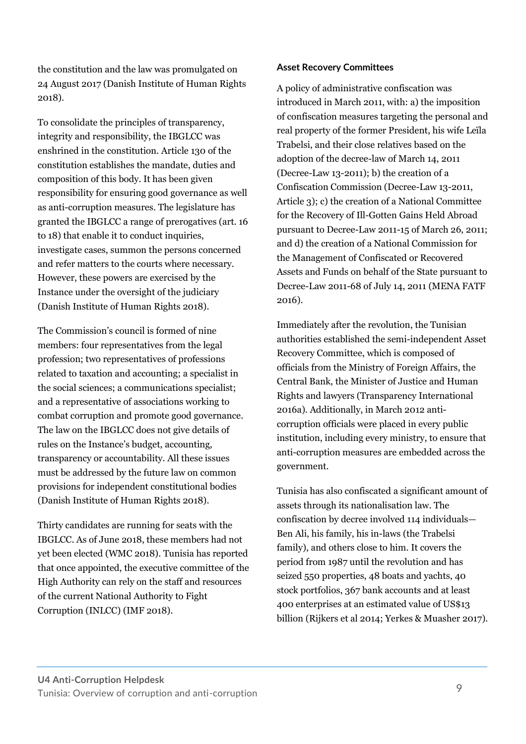the constitution and the law was promulgated on 24 August 2017 (Danish Institute of Human Rights 2018).

To consolidate the principles of transparency, integrity and responsibility, the IBGLCC was enshrined in the constitution. Article 130 of the constitution establishes the mandate, duties and composition of this body. It has been given responsibility for ensuring good governance as well as anti-corruption measures. The legislature has granted the IBGLCC a range of prerogatives (art. 16 to 18) that enable it to conduct inquiries, investigate cases, summon the persons concerned and refer matters to the courts where necessary. However, these powers are exercised by the Instance under the oversight of the judiciary (Danish Institute of Human Rights 2018).

The Commission's council is formed of nine members: four representatives from the legal profession; two representatives of professions related to taxation and accounting; a specialist in the social sciences; a communications specialist; and a representative of associations working to combat corruption and promote good governance. The law on the IBGLCC does not give details of rules on the Instance's budget, accounting, transparency or accountability. All these issues must be addressed by the future law on common provisions for independent constitutional bodies (Danish Institute of Human Rights 2018).

Thirty candidates are running for seats with the IBGLCC. As of June 2018, these members had not yet been elected (WMC 2018). Tunisia has reported that once appointed, the executive committee of the High Authority can rely on the staff and resources of the current National Authority to Fight Corruption (INLCC) (IMF 2018).

#### **Asset Recovery Committees**

A policy of administrative confiscation was introduced in March 2011, with: a) the imposition of confiscation measures targeting the personal and real property of the former President, his wife Leïla Trabelsi, and their close relatives based on the adoption of the decree-law of March 14, 2011 (Decree-Law 13-2011); b) the creation of a Confiscation Commission (Decree-Law 13-2011, Article 3); c) the creation of a National Committee for the Recovery of Ill-Gotten Gains Held Abroad pursuant to Decree-Law 2011-15 of March 26, 2011; and d) the creation of a National Commission for the Management of Confiscated or Recovered Assets and Funds on behalf of the State pursuant to Decree-Law 2011-68 of July 14, 2011 (MENA FATF 2016).

Immediately after the revolution, the Tunisian authorities established the semi-independent Asset Recovery Committee, which is composed of officials from the Ministry of Foreign Affairs, the Central Bank, the Minister of Justice and Human Rights and lawyers (Transparency International 2016a). Additionally, in March 2012 anticorruption officials were placed in every public institution, including every ministry, to ensure that anti-corruption measures are embedded across the government.

Tunisia has also confiscated a significant amount of assets through its nationalisation law. The confiscation by decree involved 114 individuals— Ben Ali, his family, his in-laws (the Trabelsi family), and others close to him. It covers the period from 1987 until the revolution and has seized 550 properties, 48 boats and yachts, 40 stock portfolios, 367 bank accounts and at least 400 enterprises at an estimated value of US\$13 billion (Rijkers et al 2014; Yerkes & Muasher 2017).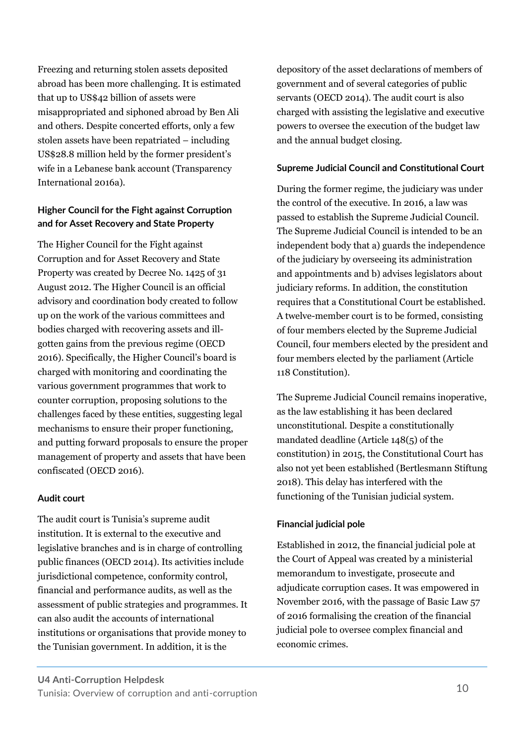Freezing and returning stolen assets deposited abroad has been more challenging. It is estimated that up to US\$42 billion of assets were misappropriated and siphoned abroad by Ben Ali and others. Despite concerted efforts, only a few stolen assets have been repatriated – including US\$28.8 million held by the former president's wife in a Lebanese bank account (Transparency International 2016a).

#### **Higher Council for the Fight against Corruption and for Asset Recovery and State Property**

The Higher Council for the Fight against Corruption and for Asset Recovery and State Property was created by Decree No. 1425 of 31 August 2012. The Higher Council is an official advisory and coordination body created to follow up on the work of the various committees and bodies charged with recovering assets and illgotten gains from the previous regime (OECD 2016). Specifically, the Higher Council's board is charged with monitoring and coordinating the various government programmes that work to counter corruption, proposing solutions to the challenges faced by these entities, suggesting legal mechanisms to ensure their proper functioning, and putting forward proposals to ensure the proper management of property and assets that have been confiscated (OECD 2016).

#### **Audit court**

The audit court is Tunisia's supreme audit institution. It is external to the executive and legislative branches and is in charge of controlling public finances (OECD 2014). Its activities include jurisdictional competence, conformity control, financial and performance audits, as well as the assessment of public strategies and programmes. It can also audit the accounts of international institutions or organisations that provide money to the Tunisian government. In addition, it is the

depository of the asset declarations of members of government and of several categories of public servants (OECD 2014). The audit court is also charged with assisting the legislative and executive powers to oversee the execution of the budget law and the annual budget closing.

#### **Supreme Judicial Council and Constitutional Court**

During the former regime, the judiciary was under the control of the executive. In 2016, a law was passed to establish the Supreme Judicial Council. The Supreme Judicial Council is intended to be an independent body that a) guards the independence of the judiciary by overseeing its administration and appointments and b) advises legislators about judiciary reforms. In addition, the constitution requires that a Constitutional Court be established. A twelve-member court is to be formed, consisting of four members elected by the Supreme Judicial Council, four members elected by the president and four members elected by the parliament (Article 118 Constitution).

The Supreme Judicial Council remains inoperative, as the law establishing it has been declared unconstitutional. Despite a constitutionally mandated deadline (Article 148(5) of the constitution) in 2015, the Constitutional Court has also not yet been established (Bertlesmann Stiftung 2018). This delay has interfered with the functioning of the Tunisian judicial system.

#### **Financial judicial pole**

Established in 2012, the financial judicial pole at the Court of Appeal was created by a ministerial memorandum to investigate, prosecute and adjudicate corruption cases. It was empowered in November 2016, with the passage of Basic Law 57 of 2016 formalising the creation of the financial judicial pole to oversee complex financial and economic crimes.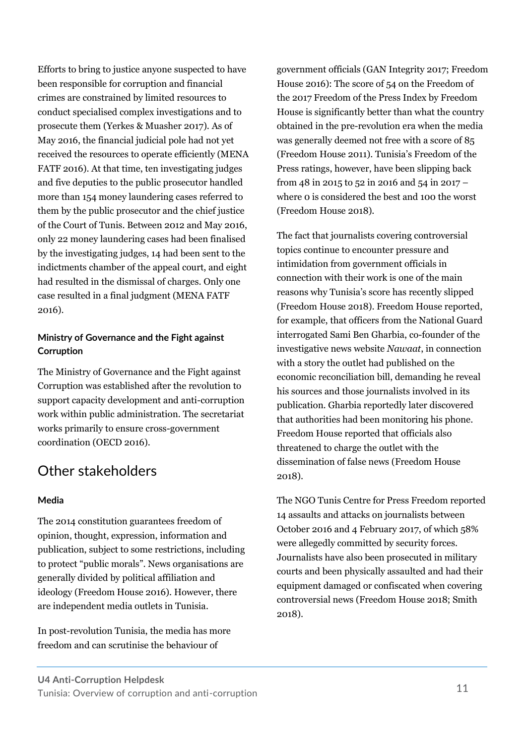Efforts to bring to justice anyone suspected to have been responsible for corruption and financial crimes are constrained by limited resources to conduct specialised complex investigations and to prosecute them (Yerkes & Muasher 2017). As of May 2016, the financial judicial pole had not yet received the resources to operate efficiently (MENA FATF 2016). At that time, ten investigating judges and five deputies to the public prosecutor handled more than 154 money laundering cases referred to them by the public prosecutor and the chief justice of the Court of Tunis. Between 2012 and May 2016, only 22 money laundering cases had been finalised by the investigating judges, 14 had been sent to the indictments chamber of the appeal court, and eight had resulted in the dismissal of charges. Only one case resulted in a final judgment (MENA FATF 2016).

#### **Ministry of Governance and the Fight against Corruption**

The Ministry of Governance and the Fight against Corruption was established after the revolution to support capacity development and anti-corruption work within public administration. The secretariat works primarily to ensure cross-government coordination (OECD 2016).

# Other stakeholders

#### **Media**

The 2014 constitution guarantees freedom of opinion, thought, expression, information and publication, subject to some restrictions, including to protect "public morals". News organisations are generally divided by political affiliation and ideology (Freedom House 2016). However, there are independent media outlets in Tunisia.

In post-revolution Tunisia, the media has more freedom and can scrutinise the behaviour of

government officials (GAN Integrity 2017; Freedom House 2016): The score of 54 on the Freedom of the 2017 Freedom of the Press Index by Freedom House is significantly better than what the country obtained in the pre-revolution era when the media was generally deemed not free with a score of 85 (Freedom House 2011). Tunisia's Freedom of the Press ratings, however, have been slipping back from 48 in 2015 to 52 in 2016 and 54 in 2017 – where 0 is considered the best and 100 the worst (Freedom House 2018).

The fact that journalists covering controversial topics continue to encounter pressure and intimidation from government officials in connection with their work is one of the main reasons why Tunisia's score has recently slipped (Freedom House 2018). Freedom House reported, for example, that officers from the National Guard interrogated Sami Ben Gharbia, co-founder of the investigative news website *Nawaat*, in connection with a story the outlet had published on the economic reconciliation bill, demanding he reveal his sources and those journalists involved in its publication. Gharbia reportedly later discovered that authorities had been monitoring his phone. Freedom House reported that officials also threatened to charge the outlet with the dissemination of false news (Freedom House 2018).

The NGO Tunis Centre for Press Freedom reported 14 assaults and attacks on journalists between October 2016 and 4 February 2017, of which 58% were allegedly committed by security forces. Journalists have also been prosecuted in military courts and been physically assaulted and had their equipment damaged or confiscated when covering controversial news (Freedom House 2018; Smith 2018).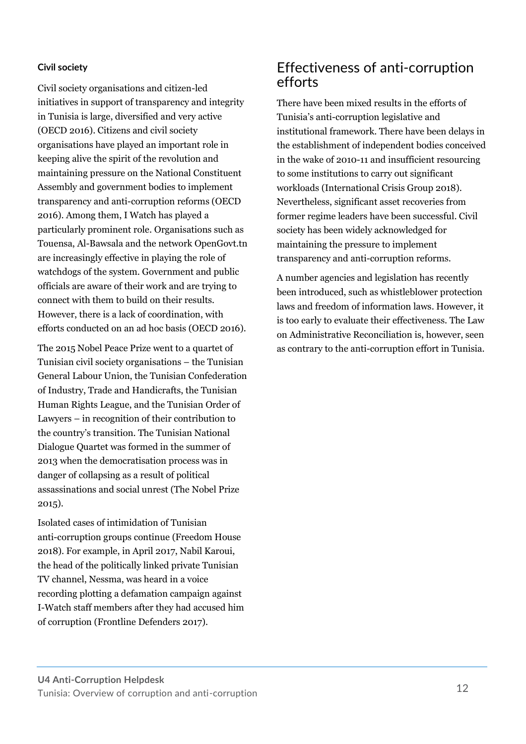#### **Civil society**

Civil society organisations and citizen-led initiatives in support of transparency and integrity in Tunisia is large, diversified and very active (OECD 2016). Citizens and civil society organisations have played an important role in keeping alive the spirit of the revolution and maintaining pressure on the National Constituent Assembly and government bodies to implement transparency and anti-corruption reforms (OECD 2016). Among them, I Watch has played a particularly prominent role. Organisations such as Touensa, Al-Bawsala and the network OpenGovt.tn are increasingly effective in playing the role of watchdogs of the system. Government and public officials are aware of their work and are trying to connect with them to build on their results. However, there is a lack of coordination, with efforts conducted on an ad hoc basis (OECD 2016).

The 2015 Nobel Peace Prize went to a quartet of Tunisian civil society organisations – the Tunisian General Labour Union, the Tunisian Confederation of Industry, Trade and Handicrafts, the Tunisian Human Rights League, and the Tunisian Order of Lawyers – in recognition of their contribution to the country's transition. The Tunisian National Dialogue Quartet was formed in the summer of 2013 when the democratisation process was in danger of collapsing as a result of political assassinations and social unrest (The Nobel Prize 2015).

Isolated cases of intimidation of Tunisian anti-corruption groups continue (Freedom House 2018). For example, in April 2017, Nabil Karoui, the head of the politically linked private Tunisian TV channel, Nessma, was heard in a voice recording plotting a defamation campaign against I-Watch staff members after they had accused him of corruption (Frontline Defenders 2017).

### Effectiveness of anti-corruption efforts

There have been mixed results in the efforts of Tunisia's anti-corruption legislative and institutional framework. There have been delays in the establishment of independent bodies conceived in the wake of 2010-11 and insufficient resourcing to some institutions to carry out significant workloads (International Crisis Group 2018). Nevertheless, significant asset recoveries from former regime leaders have been successful. Civil society has been widely acknowledged for maintaining the pressure to implement transparency and anti-corruption reforms.

A number agencies and legislation has recently been introduced, such as whistleblower protection laws and freedom of information laws. However, it is too early to evaluate their effectiveness. The Law on Administrative Reconciliation is, however, seen as contrary to the anti-corruption effort in Tunisia.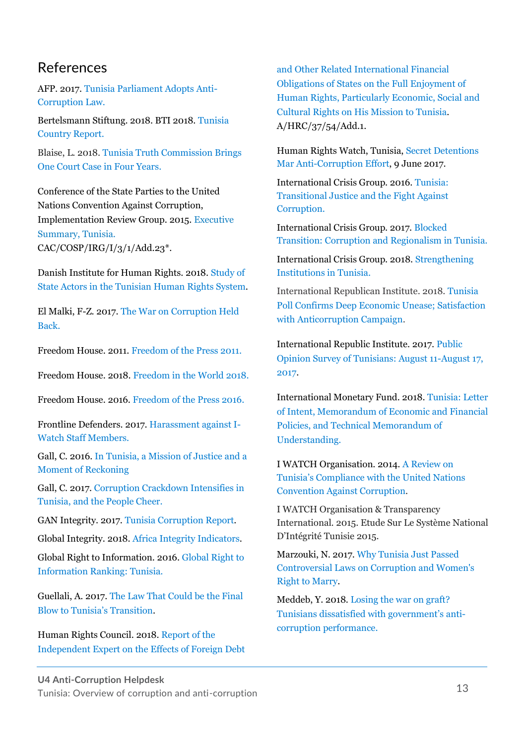### References

AFP. 2017. [Tunisia Parliament Adopts Anti-](http://english.alarabiya.net/en/News/north-africa/2017/02/23/Tunisia-parliament-adopts-anti-corruption-law-.html)[Corruption Law.](http://english.alarabiya.net/en/News/north-africa/2017/02/23/Tunisia-parliament-adopts-anti-corruption-law-.html)

Bertelsmann Stiftung. 2018. BTI 2018. [Tunisia](https://www.bti-project.org/en/reports/country-reports/detail/itc/TUN/)  [Country Report.](https://www.bti-project.org/en/reports/country-reports/detail/itc/TUN/)

Blaise, L. 2018. Tunisia Truth [Commission](https://www.nytimes.com/2018/06/06/world/middleeast/tunisia-torture-trial-zine-el-abidine-ben-ali.html) Brings One Court Case in Four [Years.](https://www.nytimes.com/2018/06/06/world/middleeast/tunisia-torture-trial-zine-el-abidine-ben-ali.html)

Conference of the State Parties to the United Nations Convention Against Corruption, Implementation Review Group. 2015. [Executive](https://www.unodc.org/documents/treaties/UNCAC/WorkingGroups/ImplementationReviewGroup/ExecutiveSummaries/V1503720e.pdf)  [Summary,](https://www.unodc.org/documents/treaties/UNCAC/WorkingGroups/ImplementationReviewGroup/ExecutiveSummaries/V1503720e.pdf) Tunisia. CAC/COSP/IRG/I/3/1/Add.23\*.

Danish Institute for Human Rights. 2018. [Study of](https://www.humanrights.dk/sites/humanrights.dk/files/media/researchpublications/downloads/tunis-rapport-version_english.pdf)  [State Actors in the Tunisian Human Rights System.](https://www.humanrights.dk/sites/humanrights.dk/files/media/researchpublications/downloads/tunis-rapport-version_english.pdf)

El Malki, F-Z. 2017[. The War on Corruption Held](http://carnegieendowment.org/sada/72644)  [Back.](http://carnegieendowment.org/sada/72644)

Freedom House. 2011. [Freedom of the Press 2011.](https://freedomhouse.org/sites/default/files/FOTP%202011%20Global%20%26%20Regional%20Rankings.pdf)

Freedom House. 2018. [Freedom in the World 2018.](https://freedomhouse.org/report/freedom-world/2018/tunisia)

Freedom House. 2016. [Freedom of the Press 2016.](https://freedomhouse.org/report/freedom-press/2016/tunisia)

Frontline Defenders. 2017. [Harassment against I-](https://www.frontlinedefenders.org/en/case/harassment-against-i-watch-staff-members)[Watch Staff Members.](https://www.frontlinedefenders.org/en/case/harassment-against-i-watch-staff-members)

Gall, C. 2016. In [Tunisia,](https://www.nytimes.com/2015/11/07/world/africa/in-tunisia-a-mission-of-justice-and-a-moment-of-reckoning.html?ref=topics) a Mission of Justice and a Moment of [Reckoning](https://www.nytimes.com/2015/11/07/world/africa/in-tunisia-a-mission-of-justice-and-a-moment-of-reckoning.html?ref=topics)

Gall, C. 2017[. Corruption Crackdown Intensifies in](https://www.nytimes.com/2017/06/25/world/africa/corruption-crackdown-intensifies-in-tunisia-and-the-people-cheer.html)  [Tunisia, and the People Cheer.](https://www.nytimes.com/2017/06/25/world/africa/corruption-crackdown-intensifies-in-tunisia-and-the-people-cheer.html)

GAN Integrity. 2017. [Tunisia Corruption Report.](https://www.business-anti-corruption.com/country-profiles/tunisia/)

Global Integrity. 2018. [Africa Integrity Indicators.](https://aii.globalintegrity.org/scores-map?stringId=transparency_accountability&year=2018)

Global Right to Information. 2016. Global [Right to](http://www.rti-rating.org/country-data/scoring/?country_name=Tunisia#right)  [Information Ranking: Tunisia.](http://www.rti-rating.org/country-data/scoring/?country_name=Tunisia#right)

Guellali, A. 2017. [The Law That Could be the Final](https://www.hrw.org/news/2017/05/23/law-could-be-final-blow-tunisias-transition)  [Blow to Tunisia's Transition](https://www.hrw.org/news/2017/05/23/law-could-be-final-blow-tunisias-transition).

Human Rights Council. 2018. [Report of the](https://www.ohchr.org/Documents/Issues/Development/IEDebt/A_HRC_37_54_Add.1.pdf)  [Independent Expert on the Effects of Foreign Debt](https://www.ohchr.org/Documents/Issues/Development/IEDebt/A_HRC_37_54_Add.1.pdf) 

[and Other Related International Financial](https://www.ohchr.org/Documents/Issues/Development/IEDebt/A_HRC_37_54_Add.1.pdf)  [Obligations of States on the Full Enjoyment of](https://www.ohchr.org/Documents/Issues/Development/IEDebt/A_HRC_37_54_Add.1.pdf)  [Human Rights, Particularly Economic, Social and](https://www.ohchr.org/Documents/Issues/Development/IEDebt/A_HRC_37_54_Add.1.pdf)  [Cultural Rights on His Mission to Tunisia.](https://www.ohchr.org/Documents/Issues/Development/IEDebt/A_HRC_37_54_Add.1.pdf) A/HRC/37/54/Add.1.

Human Rights Watch, Tunisia, [Secret Detentions](https://www.hrw.org/news/2017/06/09/tunisia-secret-detentions-mar-anti-corruption-effort)  [Mar Anti-Corruption Effort,](https://www.hrw.org/news/2017/06/09/tunisia-secret-detentions-mar-anti-corruption-effort) 9 June 2017.

International Crisis Group. 2016. [Tunisia:](https://www.crisisgroup.org/middle-east-north-africa/north-africa/tunisia/tunisia-transitional-justice-and-fight-against-corruption)  [Transitional Justice and the Fight Against](https://www.crisisgroup.org/middle-east-north-africa/north-africa/tunisia/tunisia-transitional-justice-and-fight-against-corruption)  [Corruption.](https://www.crisisgroup.org/middle-east-north-africa/north-africa/tunisia/tunisia-transitional-justice-and-fight-against-corruption)

International Crisis Group. 2017[. Blocked](https://www.crisisgroup.org/middle-east-north-africa/north-africa/tunisia/177-blocked-transition-corruption-and-regionalism-tunisia)  [Transition: Corruption and Regionalism in Tunisia.](https://www.crisisgroup.org/middle-east-north-africa/north-africa/tunisia/177-blocked-transition-corruption-and-regionalism-tunisia)

International Crisis Group. 2018[. Strengthening](https://www.crisisgroup.org/middle-east-north-africa/north-africa/tunisia/strengthening-institutions-tunisia)  [Institutions in Tunisia.](https://www.crisisgroup.org/middle-east-north-africa/north-africa/tunisia/strengthening-institutions-tunisia)

International Republican Institute. 2018. [Tunisia](https://www.iri.org/resource/tunisia-poll-confirms-deep-economic-unease-satisfaction-anticorruption-campaign)  [Poll Confirms Deep Economic Unease; Satisfaction](https://www.iri.org/resource/tunisia-poll-confirms-deep-economic-unease-satisfaction-anticorruption-campaign)  [with Anticorruption Campaign.](https://www.iri.org/resource/tunisia-poll-confirms-deep-economic-unease-satisfaction-anticorruption-campaign)

International Republic Institute. 2017. [Public](http://www.iri.org/sites/default/files/2017-9-26_tunisia_poll_presentation.pdf)  [Opinion Survey of Tunisians: August 11-August 17,](http://www.iri.org/sites/default/files/2017-9-26_tunisia_poll_presentation.pdf)  [2017.](http://www.iri.org/sites/default/files/2017-9-26_tunisia_poll_presentation.pdf)

International Monetary Fund. 2018. [Tunisia: Letter](https://www.imf.org/external/np/loi/2018/tun/031418.pdf)  [of Intent, Memorandum of Economic and Financial](https://www.imf.org/external/np/loi/2018/tun/031418.pdf)  [Policies, and Technical Memorandum of](https://www.imf.org/external/np/loi/2018/tun/031418.pdf)  [Understanding.](https://www.imf.org/external/np/loi/2018/tun/031418.pdf)

I WATCH Organisation. 2014. [A Review on](https://issuu.com/iwatch/docs/uncac_english)  [Tunisia's Compliance with the Un](https://issuu.com/iwatch/docs/uncac_english)ited Nations [Convention Against Corruption.](https://issuu.com/iwatch/docs/uncac_english)

I WATCH Organisation & Transparency International. 2015. Etude Sur Le Système National D'Intégrité Tunisie 2015.

Marzouki, N. 2017[. Why Tunisia Just Passed](https://www.washingtonpost.com/news/monkey-cage/wp/2017/09/21/why-tunisia-just-passed-controversial-laws-on-corruption-and-womens-right-to-marry/?noredirect=on&utm_term=.77f5a2d83900)  [Controversial Laws on Corruption and Women's](https://www.washingtonpost.com/news/monkey-cage/wp/2017/09/21/why-tunisia-just-passed-controversial-laws-on-corruption-and-womens-right-to-marry/?noredirect=on&utm_term=.77f5a2d83900)  [Right to Marry.](https://www.washingtonpost.com/news/monkey-cage/wp/2017/09/21/why-tunisia-just-passed-controversial-laws-on-corruption-and-womens-right-to-marry/?noredirect=on&utm_term=.77f5a2d83900)

Meddeb, Y. 2018[. Losing the war on graft?](http://afrobarometer.org/sites/default/files/publications/Dispatches/ab_r7_dispatchno247_perceptions_of_corruption_in_tunisia.pdf)  [Tunisians dissatisfied with government's a](http://afrobarometer.org/sites/default/files/publications/Dispatches/ab_r7_dispatchno247_perceptions_of_corruption_in_tunisia.pdf)nti[corruption performance.](http://afrobarometer.org/sites/default/files/publications/Dispatches/ab_r7_dispatchno247_perceptions_of_corruption_in_tunisia.pdf)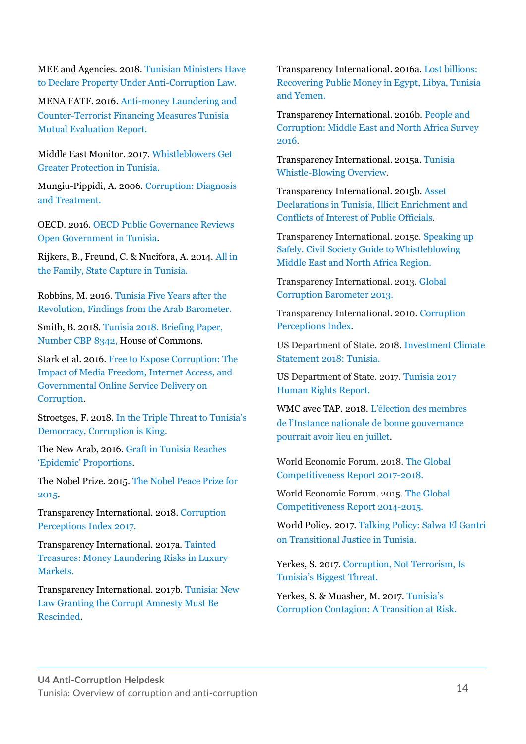MEE and Agencies. 2018[. Tunisian Ministers Have](http://www.middleeasteye.net/news/tunisia-approves-illegal-enrichment-law-combat-corruption-1103873689)  [to Declare Property Under Anti-Corruption Law.](http://www.middleeasteye.net/news/tunisia-approves-illegal-enrichment-law-combat-corruption-1103873689)

MENA FATF. 2016. Anti-money [Laundering and](http://www.fatf-gafi.org/media/fatf/documents/reports/mer-fsrb/Tunisia_MER_2016_EN.pdf)  [Counter-Terrorist Financing Measures Tunisia](http://www.fatf-gafi.org/media/fatf/documents/reports/mer-fsrb/Tunisia_MER_2016_EN.pdf)  [Mutual Evaluation Report.](http://www.fatf-gafi.org/media/fatf/documents/reports/mer-fsrb/Tunisia_MER_2016_EN.pdf)

Middle East Monitor. 2017. [Whistleblowers Get](https://www.middleeastmonitor.com/20170223-whistleblowers-get-greater-protection-in-tunisia/)  [Greater Protection](https://www.middleeastmonitor.com/20170223-whistleblowers-get-greater-protection-in-tunisia/) in Tunisia.

Mungiu-Pippidi, A. 2006. [Corruption: Diagnosis](https://www.journalofdemocracy.org/sites/default/files/Mungiu-Pippidi-17-3.pdf)  [and Treatment.](https://www.journalofdemocracy.org/sites/default/files/Mungiu-Pippidi-17-3.pdf)

OECD. 2016. [OECD Public Governance Reviews](http://www.oecd.org/countries/tunisia/open-government-in-tunisia-9789264227118-en.htm)  [Open Government in Tunisia.](http://www.oecd.org/countries/tunisia/open-government-in-tunisia-9789264227118-en.htm)

Rijkers, B., Freund, C. & Nucifora, A. 2014. [All in](http://documents.worldbank.org/curated/en/440461468173649062/pdf/WPS6810.pdf)  [the Family, State Capture in Tunisia.](http://documents.worldbank.org/curated/en/440461468173649062/pdf/WPS6810.pdf)

Robbins, M. 2016[. Tunisia Five Years after the](http://www.arabbarometer.org/wp-content/uploads/Tunisia_Public_Opinion_Survey_2016_Democracy.pdf)  [Revolution, Findings from the Arab Barometer.](http://www.arabbarometer.org/wp-content/uploads/Tunisia_Public_Opinion_Survey_2016_Democracy.pdf)

Smith, B. 2018[. Tunisia 2018. Briefing Paper,](https://researchbriefings.parliament.uk/ResearchBriefing/Summary/CBP-8342#fullreport)  [Number CBP 8342,](https://researchbriefings.parliament.uk/ResearchBriefing/Summary/CBP-8342#fullreport) House of Commons.

Stark et al. 2016. [Free to Expose Corruption: The](https://ijoc.org/index.php/ijoc/article/view/5712/1793)  [Impact of Media Freedom, Internet Access, and](https://ijoc.org/index.php/ijoc/article/view/5712/1793)  [Governmental Online Service Delivery on](https://ijoc.org/index.php/ijoc/article/view/5712/1793)  [Corruption.](https://ijoc.org/index.php/ijoc/article/view/5712/1793)

Stroetges, F. 2018. [In the Triple Thr](https://www.ssoar.info/ssoar/bitstream/handle/document/56130/ssoar-2018-stroetges-In_the_Triple_Threat_to.pdf?sequence=1)eat to Tunisia's [Democracy, Corruption is King.](https://www.ssoar.info/ssoar/bitstream/handle/document/56130/ssoar-2018-stroetges-In_the_Triple_Threat_to.pdf?sequence=1)

The New Arab, 2016. [Graft in Tunisia Reaches](https://www.alaraby.co.uk/english/news/2016/8/31/graft-in-tunisia-reaches-epidemic-proportions)  ['Epidemic' Proportions](https://www.alaraby.co.uk/english/news/2016/8/31/graft-in-tunisia-reaches-epidemic-proportions).

The Nobel Prize. 2015[. The Nobel Peace Prize](https://www.nobelprize.org/prizes/peace/2015/press-release/) for [2015.](https://www.nobelprize.org/prizes/peace/2015/press-release/)

Transparency International. 2018. [Corruption](https://www.transparency.org/news/feature/corruption_perceptions_index_2017)  [Perceptions Index 2017.](https://www.transparency.org/news/feature/corruption_perceptions_index_2017)

Transparency International. 2017a. [Tainted](https://www.transparency.org/whatwedo/publication/tainted_treasures_money_laundering_risks_in_luxury_markets)  [Treasures: Money Laundering Risks in Luxury](https://www.transparency.org/whatwedo/publication/tainted_treasures_money_laundering_risks_in_luxury_markets)  [Markets.](https://www.transparency.org/whatwedo/publication/tainted_treasures_money_laundering_risks_in_luxury_markets)

Transparency International. 2017b. [Tunisia: New](https://www.transparency.org/news/pressrelease/tunisia_new_law_granting_the_corrupt_amnesty_must_be_rescinded)  [Law Granting the Corrupt Amnesty Must Be](https://www.transparency.org/news/pressrelease/tunisia_new_law_granting_the_corrupt_amnesty_must_be_rescinded)  [Rescinded.](https://www.transparency.org/news/pressrelease/tunisia_new_law_granting_the_corrupt_amnesty_must_be_rescinded)

Transparency International. 2016a[. Lost billions:](https://www.transparency.org/whatwedo/publication/lost_billions_recovering_public_money_in_egypt_libya_tunisia_and_yemen)  [Recovering Public Money in Egypt, Libya, Tunisia](https://www.transparency.org/whatwedo/publication/lost_billions_recovering_public_money_in_egypt_libya_tunisia_and_yemen)  [and Yemen.](https://www.transparency.org/whatwedo/publication/lost_billions_recovering_public_money_in_egypt_libya_tunisia_and_yemen)

Transparency International. 2016b. [People and](https://www.transparency.org/whatwedo/publication/people_and_corruption_mena_survey_2016)  [Corruption: Middle East and North Africa Survey](https://www.transparency.org/whatwedo/publication/people_and_corruption_mena_survey_2016)  [2016.](https://www.transparency.org/whatwedo/publication/people_and_corruption_mena_survey_2016)

Transparency International. 2015a. [Tunisia](https://www.transparency.org/whatwedo/publication/tunisia_whistleblowing_overview)  [Whistle-Blowing Overview.](https://www.transparency.org/whatwedo/publication/tunisia_whistleblowing_overview)

Transparency International. 2015b. [Asset](https://www.transparency.org/whatwedo/publication/asset_declarations_in_tunisia_illicit_enrichment_and_conflicts_on_interest)  [Declarations in Tunisia, Illicit Enrichment and](https://www.transparency.org/whatwedo/publication/asset_declarations_in_tunisia_illicit_enrichment_and_conflicts_on_interest)  [Conflicts of Interest of Public Officials.](https://www.transparency.org/whatwedo/publication/asset_declarations_in_tunisia_illicit_enrichment_and_conflicts_on_interest)

Transparency International. 2015c. [Speaking up](https://www.transparency.org/whatwedo/publication/speaking_up_safely_civil_society_guide_to_whistleblowing_MENA)  [Safely. Civil Society Guide to Whistleblowing](https://www.transparency.org/whatwedo/publication/speaking_up_safely_civil_society_guide_to_whistleblowing_MENA)  [Middle East and North Africa Region.](https://www.transparency.org/whatwedo/publication/speaking_up_safely_civil_society_guide_to_whistleblowing_MENA)

Transparency International. 2013. [Global](https://www.transparency.org/gcb2013/country?country=tunisia)  [Corruption Barometer 2013.](https://www.transparency.org/gcb2013/country?country=tunisia)

Transparency International. 2010. [Corruption](https://www.transparency.org/cpi2010/results#CountryResults)  [Perceptions Index.](https://www.transparency.org/cpi2010/results#CountryResults)

US Department of State. 2018. [Investment Climate](https://www.state.gov/e/eb/rls/othr/ics/investmentclimatestatements/index.htm?year=2018&dlid=281685#wrapper)  [Statement 2018: Tunisia.](https://www.state.gov/e/eb/rls/othr/ics/investmentclimatestatements/index.htm?year=2018&dlid=281685#wrapper)

US Department of State. 2017. [Tunisia 2017](https://www.state.gov/documents/organization/277511.pdf)  [Human Rights Report.](https://www.state.gov/documents/organization/277511.pdf)

WMC avec TAP. 2018. [L'élection des membres](https://www.webmanagercenter.com/2018/06/20/421236/lelection-des-membres-de-linstance-nationale-de-bonne-gouvernance-pourrait-avoir-lieu-en-juillet/)  de [l'Instance nationale de bonne gouvernance](https://www.webmanagercenter.com/2018/06/20/421236/lelection-des-membres-de-linstance-nationale-de-bonne-gouvernance-pourrait-avoir-lieu-en-juillet/)  [pourrait avoir lieu en juillet.](https://www.webmanagercenter.com/2018/06/20/421236/lelection-des-membres-de-linstance-nationale-de-bonne-gouvernance-pourrait-avoir-lieu-en-juillet/)

World Economic Forum. 2018. [The Global](http://www3.weforum.org/docs/GCR2017-2018/05FullReport/TheGlobalCompetitivenessReport2017%E2%80%932018.pdf)  [Competitiveness Report 2017-2018.](http://www3.weforum.org/docs/GCR2017-2018/05FullReport/TheGlobalCompetitivenessReport2017%E2%80%932018.pdf)

World Economic Forum. 2015. [The Global](http://www3.weforum.org/docs/WEF_GlobalCompetitivenessReport_2014-15.pdf)  [Competitiveness Report 2014-2015.](http://www3.weforum.org/docs/WEF_GlobalCompetitivenessReport_2014-15.pdf) 

World Policy. 2017. [Talking Policy: Salwa El Gantri](https://worldpolicy.org/2017/07/21/talking-policy-salwa-el-gantri-on-transitional-justice-in-tunisia/)  [on Transitional Justice in Tunisia.](https://worldpolicy.org/2017/07/21/talking-policy-salwa-el-gantri-on-transitional-justice-in-tunisia/)

Yerkes, S. 2017. [Corruption, Not Terrorism, Is](http://carnegieeurope.eu/strategiceurope/74952)  [Tunisia's Biggest Threat.](http://carnegieeurope.eu/strategiceurope/74952)

Yerkes, S. & Muasher, M. 2017. [Tunisia's](https://carnegieendowment.org/2017/10/25/tunisia-s-corruption-contagion-transition-at-risk-pub-73522)  [Corruption Contagion: A Transition at Risk.](https://carnegieendowment.org/2017/10/25/tunisia-s-corruption-contagion-transition-at-risk-pub-73522)